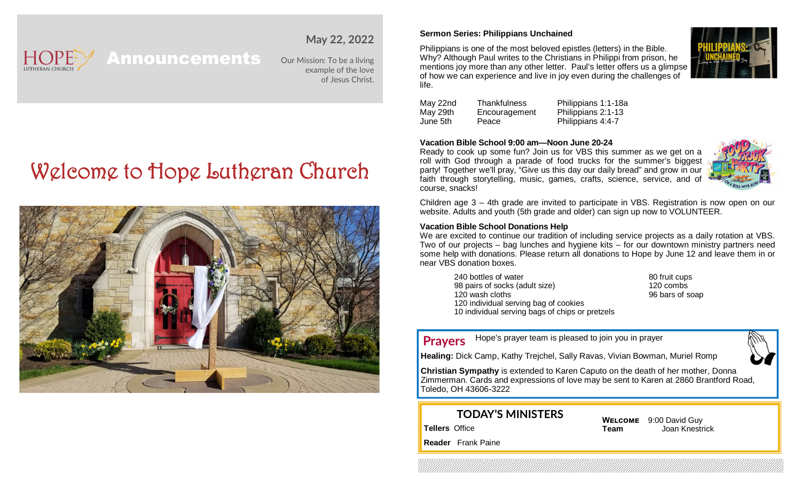

# **May 22, 2022**

Announcements Our Mission: To be a living example of the love of Jesus Christ.

# Welcome to Hope Lutheran Church



#### **Sermon Series: Philippians Unchained**

Philippians is one of the most beloved epistles (letters) in the Bible. Why? Although Paul writes to the Christians in Philippi from prison, he mentions joy more than any other letter. Paul's letter offers us a glimpse of how we can experience and live in joy even during the challenges of life.



#### **Vacation Bible School 9:00 am—Noon June 20-24**

Ready to cook up some fun? Join us for VBS this summer as we get on a roll with God through a parade of food trucks for the summer's biggest party! Together we'll pray, "Give us this day our daily bread" and grow in our faith through storytelling, music, games, crafts, science, service, and of course, snacks!



Children age 3 – 4th grade are invited to participate in VBS. Registration is now open on our website. Adults and youth (5th grade and older) can sign up now to VOLUNTEER.

#### **Vacation Bible School Donations Help**

We are excited to continue our tradition of including service projects as a daily rotation at VBS. Two of our projects – bag lunches and hygiene kits – for our downtown ministry partners need some help with donations. Please return all donations to Hope by June 12 and leave them in or near VBS donation boxes.

240 bottles of water **80 fruit cups** 98 pairs of socks (adult size) 120 combs 120 wash cloths 96 bars of soap 120 individual serving bag of cookies 10 individual serving bags of chips or pretzels

Hope's prayer team is pleased to join you in prayer **Prayers**



**Healing:** Dick Camp, Kathy Trejchel, Sally Ravas, Vivian Bowman, Muriel Romp

**Christian Sympathy** is extended to Karen Caputo on the death of her mother, Donna Zimmerman. Cards and expressions of love may be sent to Karen at 2860 Brantford Road, Toledo, OH 43606-3222

# **TODAY'S MINISTERS**

**Tellers** Office

**WELCOME** 9:00 David Guy **Team** Joan Knestrick

**Reader** Frank Paine